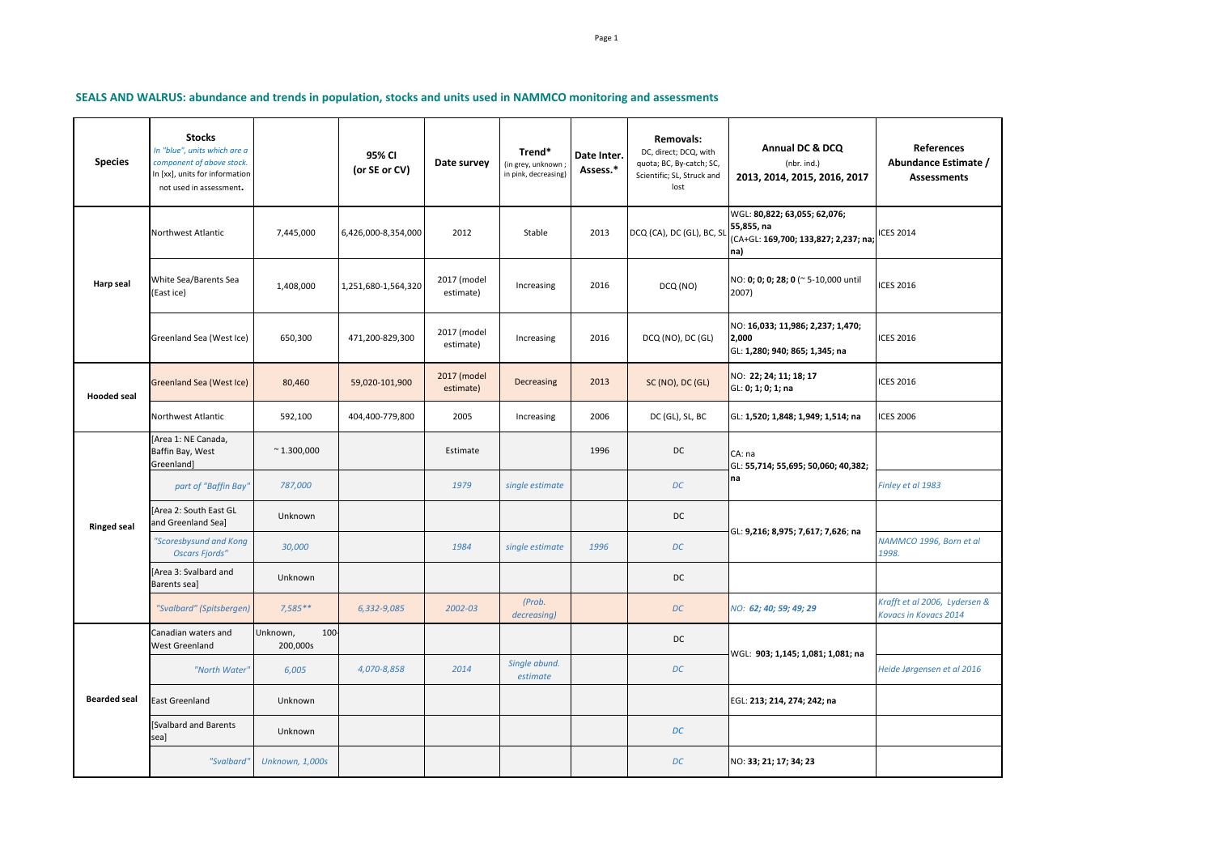**SEALS AND WALRUS: abundance and trends in population, stocks and units used in NAMMCO monitoring and assessments**

| <b>Species</b>      | <b>Stocks</b><br>In "blue", units which are a<br>component of above stock.<br>In [xx], units for information<br>not used in assessment. |                             | 95% CI<br>(or SE or CV) | Date survey              | Trend*<br>(in grey, unknown;<br>in pink, decreasing) | Date Inter.<br>Assess.* | <b>Removals:</b><br>DC, direct; DCQ, with<br>quota; BC, By-catch; SC,<br>Scientific; SL, Struck and<br>lost | Annual DC & DCQ<br>(nbr. ind.)<br>2013, 2014, 2015, 2016, 2017                            | <b>References</b><br>Abundance Estimate /<br><b>Assessments</b> |
|---------------------|-----------------------------------------------------------------------------------------------------------------------------------------|-----------------------------|-------------------------|--------------------------|------------------------------------------------------|-------------------------|-------------------------------------------------------------------------------------------------------------|-------------------------------------------------------------------------------------------|-----------------------------------------------------------------|
| Harp seal           | Northwest Atlantic                                                                                                                      | 7,445,000                   | 6,426,000-8,354,000     | 2012                     | Stable                                               | 2013                    | DCQ (CA), DC (GL), BC, SL                                                                                   | WGL: 80,822; 63,055; 62,076;<br>55,855, na<br>(CA+GL: 169,700; 133,827; 2,237; na;<br>na) | <b>ICES 2014</b>                                                |
|                     | White Sea/Barents Sea<br>(East ice)                                                                                                     | 1,408,000                   | 1,251,680-1,564,320     | 2017 (model<br>estimate) | Increasing                                           | 2016                    | DCQ (NO)                                                                                                    | NO: 0; 0; 0; 28; 0 (~ 5-10,000 until<br>2007)                                             | <b>ICES 2016</b>                                                |
|                     | Greenland Sea (West Ice)                                                                                                                | 650,300                     | 471,200-829,300         | 2017 (model<br>estimate) | Increasing                                           | 2016                    | DCQ (NO), DC (GL)                                                                                           | NO: 16,033; 11,986; 2,237; 1,470;<br>2,000<br>GL: 1,280; 940; 865; 1,345; na              | <b>ICES 2016</b>                                                |
| <b>Hooded seal</b>  | Greenland Sea (West Ice)                                                                                                                | 80,460                      | 59,020-101,900          | 2017 (model<br>estimate) | Decreasing                                           | 2013                    | SC (NO), DC (GL)                                                                                            | NO: 22; 24; 11; 18; 17<br>GL: 0; 1; 0; 1; na                                              | <b>ICES 2016</b>                                                |
|                     | Northwest Atlantic                                                                                                                      | 592,100                     | 404,400-779,800         | 2005                     | Increasing                                           | 2006                    | DC (GL), SL, BC                                                                                             | GL: 1,520; 1,848; 1,949; 1,514; na                                                        | <b>ICES 2006</b>                                                |
| <b>Ringed seal</b>  | [Area 1: NE Canada,<br>Baffin Bay, West<br>Greenland]                                                                                   | $^{\sim}$ 1.300,000         |                         | Estimate                 |                                                      | 1996                    | <b>DC</b>                                                                                                   | CA: na<br>GL: 55,714; 55,695; 50,060; 40,382;<br>na                                       |                                                                 |
|                     | part of "Baffin Bay"                                                                                                                    | 787,000                     |                         | 1979                     | single estimate                                      |                         | DC                                                                                                          |                                                                                           | Finley et al 1983                                               |
|                     | [Area 2: South East GL<br>and Greenland Sea]                                                                                            | Unknown                     |                         |                          |                                                      |                         | <b>DC</b>                                                                                                   | GL: <b>9,216; 8,975; 7,617; 7,626</b> ; na                                                |                                                                 |
|                     | "Scoresbysund and Kong<br><b>Oscars Fjords"</b>                                                                                         | 30,000                      |                         | 1984                     | single estimate                                      | 1996                    | DC                                                                                                          |                                                                                           | NAMMCO 1996, Born et al<br>1998.                                |
|                     | [Area 3: Svalbard and<br>Barents sea]                                                                                                   | Unknown                     |                         |                          |                                                      |                         | DC                                                                                                          |                                                                                           |                                                                 |
|                     | "Svalbard" (Spitsbergen)                                                                                                                | $7,585**$                   | 6,332-9,085             | 2002-03                  | (Prob.<br>decreasing)                                |                         | DC                                                                                                          | NO: 62; 40; 59; 49; 29                                                                    | Krafft et al 2006, Lydersen &<br><b>Kovacs in Kovacs 2014</b>   |
| <b>Bearded seal</b> | Canadian waters and<br><b>West Greenland</b>                                                                                            | 100<br>Unknown,<br>200,000s |                         |                          |                                                      |                         | DC                                                                                                          | WGL: 903; 1,145; 1,081; 1,081; na                                                         |                                                                 |
|                     | "North Water"                                                                                                                           | 6,005                       | 4,070-8,858             | 2014                     | Single abund.<br>estimate                            |                         | DC                                                                                                          |                                                                                           | Heide Jørgensen et al 2016                                      |
|                     | <b>East Greenland</b>                                                                                                                   | Unknown                     |                         |                          |                                                      |                         |                                                                                                             | EGL: 213; 214, 274; 242; na                                                               |                                                                 |
|                     | [Svalbard and Barents<br>sea]                                                                                                           | Unknown                     |                         |                          |                                                      |                         | DC                                                                                                          |                                                                                           |                                                                 |
|                     | "Svalbard                                                                                                                               | Unknown, 1,000s             |                         |                          |                                                      |                         | DC                                                                                                          | NO: 33; 21; 17; 34; 23                                                                    |                                                                 |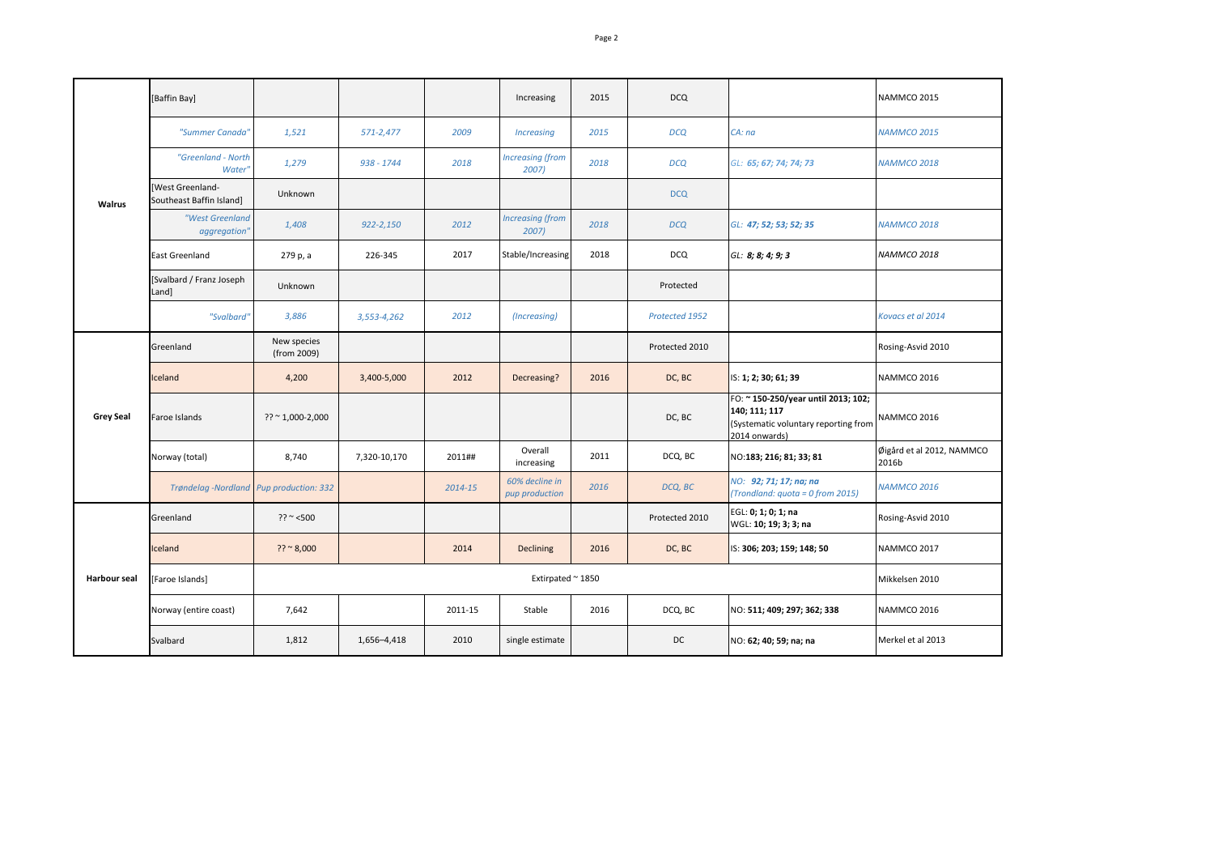| Walrus              | [Baffin Bay]                                 |                            |                |         | Increasing                       | 2015 | <b>DCQ</b>     |                                                                                                               | NAMMCO 2015                        |
|---------------------|----------------------------------------------|----------------------------|----------------|---------|----------------------------------|------|----------------|---------------------------------------------------------------------------------------------------------------|------------------------------------|
|                     | "Summer Canada"                              | 1,521                      | 571-2,477      | 2009    | <b>Increasing</b>                | 2015 | <b>DCQ</b>     | CA: na                                                                                                        | <b>NAMMCO 2015</b>                 |
|                     | "Greenland - North<br>Water'                 | 1,279                      | 938 - 1744     | 2018    | <b>Increasing (from</b><br>2007) | 2018 | <b>DCQ</b>     | GL: 65; 67; 74; 74; 73                                                                                        | <b>NAMMCO 2018</b>                 |
|                     | [West Greenland-<br>Southeast Baffin Island] | <b>Unknown</b>             |                |         |                                  |      | <b>DCQ</b>     |                                                                                                               |                                    |
|                     | "West Greenland<br>aggregation'              | 1.408                      | $922 - 2,150$  | 2012    | <b>Increasing (from</b><br>2007) | 2018 | <b>DCQ</b>     | GL: 47; 52; 53; 52; 35                                                                                        | <b>NAMMCO 2018</b>                 |
|                     | East Greenland                               | 279 p, a                   | 226-345        | 2017    | Stable/Increasing                | 2018 | <b>DCQ</b>     | GL: 8; 8; 4; 9; 3                                                                                             | NAMMCO 2018                        |
|                     | [Svalbard / Franz Joseph<br>Land]            | Unknown                    |                |         |                                  |      | Protected      |                                                                                                               |                                    |
|                     | "Svalbard"                                   | 3,886                      | 3,553-4,262    | 2012    | (Increasing)                     |      | Protected 1952 |                                                                                                               | Kovacs et al 2014                  |
| <b>Grey Seal</b>    | Greenland                                    | New species<br>(from 2009) |                |         |                                  |      | Protected 2010 |                                                                                                               | Rosing-Asvid 2010                  |
|                     | Iceland                                      | 4,200                      | 3,400-5,000    | 2012    | Decreasing?                      | 2016 | DC, BC         | IS: 1; 2; 30; 61; 39                                                                                          | NAMMCO 2016                        |
|                     | Faroe Islands                                | $?? " 1,000-2,000$         |                |         |                                  |      | DC, BC         | FO: ~ 150-250/year until 2013; 102;<br>140; 111; 117<br>(Systematic voluntary reporting from<br>2014 onwards) | NAMMCO 2016                        |
|                     | Norway (total)                               | 8,740                      | 7,320-10,170   | 2011##  | Overall<br>increasing            | 2011 | DCQ, BC        | NO:183; 216; 81; 33; 81                                                                                       | Øigård et al 2012, NAMMCO<br>2016b |
|                     | Trøndelag -Nordland Pup production: 332      |                            |                | 2014-15 | 60% decline in<br>pup production | 2016 | DCQ, BC        | NO: 92; 71; 17; na; na<br>(Trondland: quota = 0 from 2015)                                                    | NAMMCO 2016                        |
| <b>Harbour seal</b> | Greenland                                    | $?? \sim 500$              |                |         |                                  |      | Protected 2010 | EGL: 0; 1; 0; 1; na<br>WGL: 10; 19; 3; 3; na                                                                  | Rosing-Asvid 2010                  |
|                     | Iceland                                      | $?? \approx 8,000$         |                | 2014    | <b>Declining</b>                 | 2016 | DC, BC         | IS: 306; 203; 159; 148; 50                                                                                    | NAMMCO 2017                        |
|                     | [Faroe Islands]                              |                            | Mikkelsen 2010 |         |                                  |      |                |                                                                                                               |                                    |
|                     | Norway (entire coast)                        | 7,642                      |                | 2011-15 | Stable                           | 2016 | DCQ, BC        | NO: 511; 409; 297; 362; 338                                                                                   | NAMMCO 2016                        |
|                     | Svalbard                                     | 1,812                      | 1,656-4,418    | 2010    | single estimate                  |      | DC             | NO: 62; 40; 59; na; na                                                                                        | Merkel et al 2013                  |